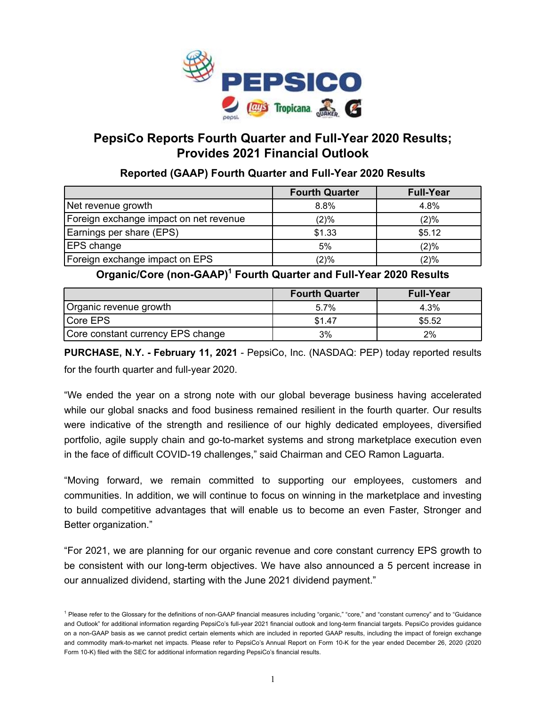

# **PepsiCo Reports Fourth Quarter and Full-Year 2020 Results; Provides 2021 Financial Outlook**

# **Reported (GAAP) Fourth Quarter and Full-Year 2020 Results**

|                                        | <b>Fourth Quarter</b> | <b>Full-Year</b> |
|----------------------------------------|-----------------------|------------------|
| Net revenue growth                     | 8.8%                  | 4.8%             |
| Foreign exchange impact on net revenue | $(2)\%$               | (2)%             |
| Earnings per share (EPS)               | \$1.33                | \$5.12           |
| <b>EPS</b> change                      | 5%                    | (2)%             |
| Foreign exchange impact on EPS         | (2)%                  | (2)%             |

# **Organic/Core (non-GAAP)<sup>1</sup> Fourth Quarter and Full-Year 2020 Results**

|                                   | <b>Fourth Quarter</b> | <b>Full-Year</b> |
|-----------------------------------|-----------------------|------------------|
| Organic revenue growth            | 5.7%                  | 4.3%             |
| Core EPS                          | \$1.47                | \$5.52           |
| Core constant currency EPS change | 3%                    | 2%               |

**PURCHASE, N.Y. - February 11, 2021** - PepsiCo, Inc. (NASDAQ: PEP) today reported results for the fourth quarter and full-year 2020.

"We ended the year on a strong note with our global beverage business having accelerated while our global snacks and food business remained resilient in the fourth quarter. Our results were indicative of the strength and resilience of our highly dedicated employees, diversified portfolio, agile supply chain and go-to-market systems and strong marketplace execution even in the face of difficult COVID-19 challenges," said Chairman and CEO Ramon Laguarta.

"Moving forward, we remain committed to supporting our employees, customers and communities. In addition, we will continue to focus on winning in the marketplace and investing to build competitive advantages that will enable us to become an even Faster, Stronger and Better organization."

"For 2021, we are planning for our organic revenue and core constant currency EPS growth to be consistent with our long-term objectives. We have also announced a 5 percent increase in our annualized dividend, starting with the June 2021 dividend payment."

<sup>&</sup>lt;sup>1</sup> Please refer to the Glossary for the definitions of non-GAAP financial measures including "organic," "core," and "constant currency" and to "Guidance and Outlook" for additional information regarding PepsiCo's full-year 2021 financial outlook and long-term financial targets. PepsiCo provides guidance on a non-GAAP basis as we cannot predict certain elements which are included in reported GAAP results, including the impact of foreign exchange and commodity mark-to-market net impacts. Please refer to PepsiCo's Annual Report on Form 10-K for the year ended December 26, 2020 (2020 Form 10-K) filed with the SEC for additional information regarding PepsiCo's financial results.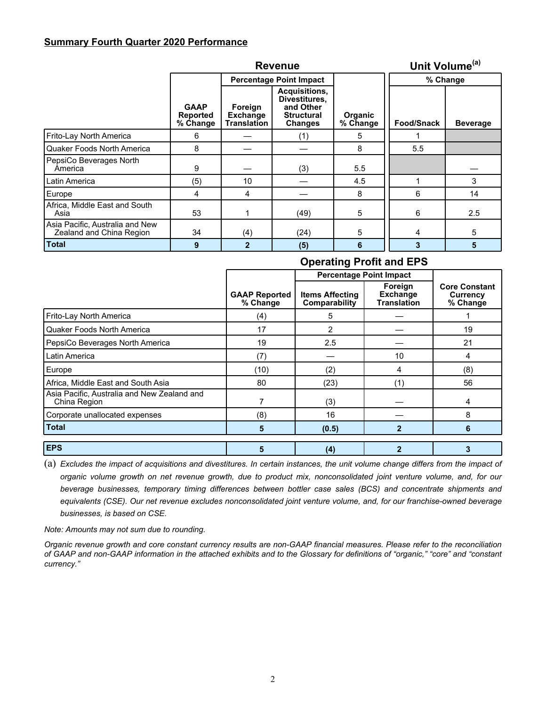## **Summary Fourth Quarter 2020 Performance**

|                                                             |                                            |                                                  | <b>Revenue</b>                                                                            |                            | Unit Volume <sup>(a)</sup> |                 |
|-------------------------------------------------------------|--------------------------------------------|--------------------------------------------------|-------------------------------------------------------------------------------------------|----------------------------|----------------------------|-----------------|
|                                                             |                                            |                                                  | <b>Percentage Point Impact</b>                                                            |                            | % Change                   |                 |
|                                                             | <b>GAAP</b><br><b>Reported</b><br>% Change | Foreign<br><b>Exchange</b><br><b>Translation</b> | <b>Acquisitions.</b><br>Divestitures,<br>and Other<br><b>Structural</b><br><b>Changes</b> | <b>Organic</b><br>% Change | Food/Snack                 | <b>Beverage</b> |
| Frito-Lay North America                                     | 6                                          |                                                  | (1)                                                                                       | 5                          |                            |                 |
| Quaker Foods North America                                  | 8                                          |                                                  |                                                                                           | 8                          | 5.5                        |                 |
| PepsiCo Beverages North<br>America                          | 9                                          |                                                  | (3)                                                                                       | 5.5                        |                            |                 |
| Latin America                                               | (5)                                        | 10                                               |                                                                                           | 4.5                        |                            | 3               |
| Europe                                                      | 4                                          | 4                                                |                                                                                           | 8                          | 6                          | 14              |
| Africa, Middle East and South<br>Asia                       | 53                                         |                                                  | (49)                                                                                      | 5                          | 6                          | 2.5             |
| Asia Pacific, Australia and New<br>Zealand and China Region | 34                                         | (4)                                              | (24)                                                                                      | 5                          | 4                          | 5               |
| <b>Total</b>                                                | 9                                          | $\overline{\mathbf{z}}$                          | (5)                                                                                       | 6                          | 3                          | 5               |

# **Operating Profit and EPS**

|                                                             |                                  | <b>Percentage Point Impact</b>          |                                                  |                                              |
|-------------------------------------------------------------|----------------------------------|-----------------------------------------|--------------------------------------------------|----------------------------------------------|
|                                                             | <b>GAAP Reported</b><br>% Change | <b>Items Affecting</b><br>Comparability | Foreign<br><b>Exchange</b><br><b>Translation</b> | <b>Core Constant</b><br>Currency<br>% Change |
| Frito-Lay North America                                     | (4)                              | 5                                       |                                                  |                                              |
| Quaker Foods North America                                  | 17                               | $\mathcal{P}$                           |                                                  | 19                                           |
| PepsiCo Beverages North America                             | 19                               | 2.5                                     |                                                  | 21                                           |
| Latin America                                               | (7)                              |                                         | 10                                               | 4                                            |
| Europe                                                      | (10)                             | (2)                                     | 4                                                | (8)                                          |
| Africa, Middle East and South Asia                          | 80                               | (23)                                    | (1)                                              | 56                                           |
| Asia Pacific, Australia and New Zealand and<br>China Region |                                  | (3)                                     |                                                  | 4                                            |
| Corporate unallocated expenses                              | (8)                              | 16                                      |                                                  | 8                                            |
| <b>Total</b>                                                | 5                                | (0.5)                                   | $\mathbf{2}$                                     | 6                                            |
| <b>EPS</b>                                                  | 5                                | (4)                                     | 2                                                | 3                                            |

(a) *Excludes the impact of acquisitions and divestitures. In certain instances, the unit volume change differs from the impact of organic volume growth on net revenue growth, due to product mix, nonconsolidated joint venture volume, and, for our beverage businesses, temporary timing differences between bottler case sales (BCS) and concentrate shipments and equivalents (CSE). Our net revenue excludes nonconsolidated joint venture volume, and, for our franchise-owned beverage businesses, is based on CSE.*

*Note: Amounts may not sum due to rounding.*

*Organic revenue growth and core constant currency results are non-GAAP financial measures. Please refer to the reconciliation of GAAP and non-GAAP information in the attached exhibits and to the Glossary for definitions of "organic," "core" and "constant currency."*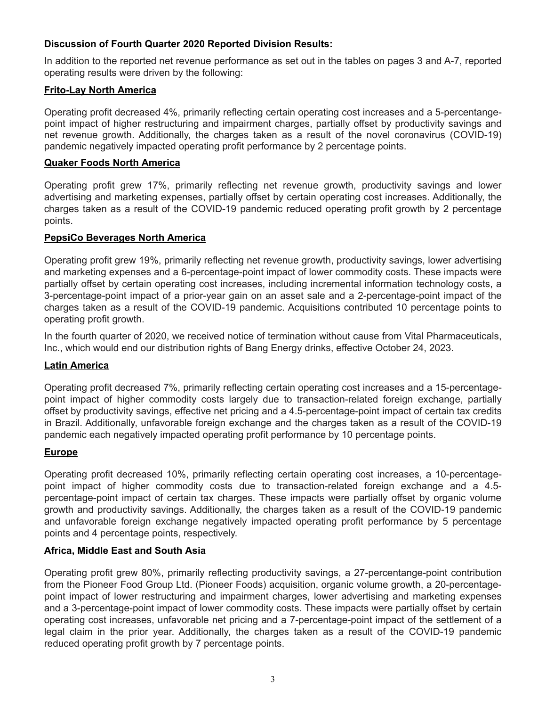# **Discussion of Fourth Quarter 2020 Reported Division Results:**

In addition to the reported net revenue performance as set out in the tables on pages 3 and A-7, reported operating results were driven by the following:

## **Frito-Lay North America**

Operating profit decreased 4%, primarily reflecting certain operating cost increases and a 5-percentangepoint impact of higher restructuring and impairment charges, partially offset by productivity savings and net revenue growth. Additionally, the charges taken as a result of the novel coronavirus (COVID-19) pandemic negatively impacted operating profit performance by 2 percentage points.

## **Quaker Foods North America**

Operating profit grew 17%, primarily reflecting net revenue growth, productivity savings and lower advertising and marketing expenses, partially offset by certain operating cost increases. Additionally, the charges taken as a result of the COVID-19 pandemic reduced operating profit growth by 2 percentage points.

## **PepsiCo Beverages North America**

Operating profit grew 19%, primarily reflecting net revenue growth, productivity savings, lower advertising and marketing expenses and a 6-percentage-point impact of lower commodity costs. These impacts were partially offset by certain operating cost increases, including incremental information technology costs, a 3-percentage-point impact of a prior-year gain on an asset sale and a 2-percentage-point impact of the charges taken as a result of the COVID-19 pandemic. Acquisitions contributed 10 percentage points to operating profit growth.

In the fourth quarter of 2020, we received notice of termination without cause from Vital Pharmaceuticals, Inc., which would end our distribution rights of Bang Energy drinks, effective October 24, 2023.

## **Latin America**

Operating profit decreased 7%, primarily reflecting certain operating cost increases and a 15-percentagepoint impact of higher commodity costs largely due to transaction-related foreign exchange, partially offset by productivity savings, effective net pricing and a 4.5-percentage-point impact of certain tax credits in Brazil. Additionally, unfavorable foreign exchange and the charges taken as a result of the COVID-19 pandemic each negatively impacted operating profit performance by 10 percentage points.

## **Europe**

Operating profit decreased 10%, primarily reflecting certain operating cost increases, a 10-percentagepoint impact of higher commodity costs due to transaction-related foreign exchange and a 4.5 percentage-point impact of certain tax charges. These impacts were partially offset by organic volume growth and productivity savings. Additionally, the charges taken as a result of the COVID-19 pandemic and unfavorable foreign exchange negatively impacted operating profit performance by 5 percentage points and 4 percentage points, respectively.

## **Africa, Middle East and South Asia**

Operating profit grew 80%, primarily reflecting productivity savings, a 27-percentange-point contribution from the Pioneer Food Group Ltd. (Pioneer Foods) acquisition, organic volume growth, a 20-percentagepoint impact of lower restructuring and impairment charges, lower advertising and marketing expenses and a 3-percentage-point impact of lower commodity costs. These impacts were partially offset by certain operating cost increases, unfavorable net pricing and a 7-percentage-point impact of the settlement of a legal claim in the prior year. Additionally, the charges taken as a result of the COVID-19 pandemic reduced operating profit growth by 7 percentage points.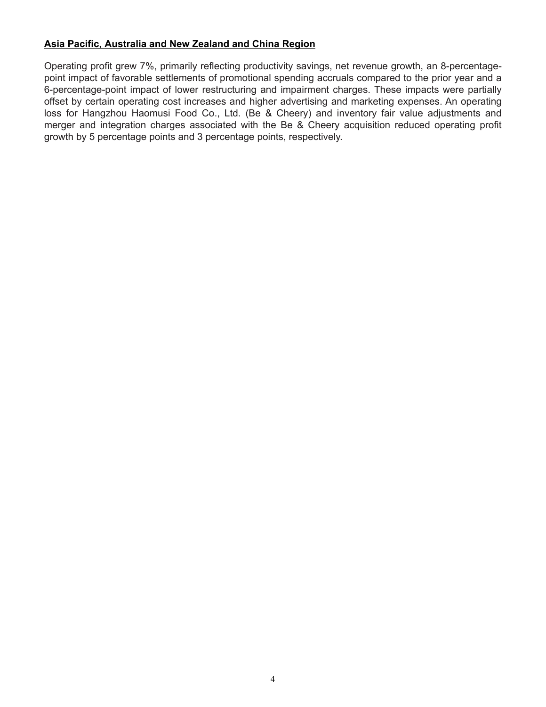# **Asia Pacific, Australia and New Zealand and China Region**

Operating profit grew 7%, primarily reflecting productivity savings, net revenue growth, an 8-percentagepoint impact of favorable settlements of promotional spending accruals compared to the prior year and a 6-percentage-point impact of lower restructuring and impairment charges. These impacts were partially offset by certain operating cost increases and higher advertising and marketing expenses. An operating loss for Hangzhou Haomusi Food Co., Ltd. (Be & Cheery) and inventory fair value adjustments and merger and integration charges associated with the Be & Cheery acquisition reduced operating profit growth by 5 percentage points and 3 percentage points, respectively.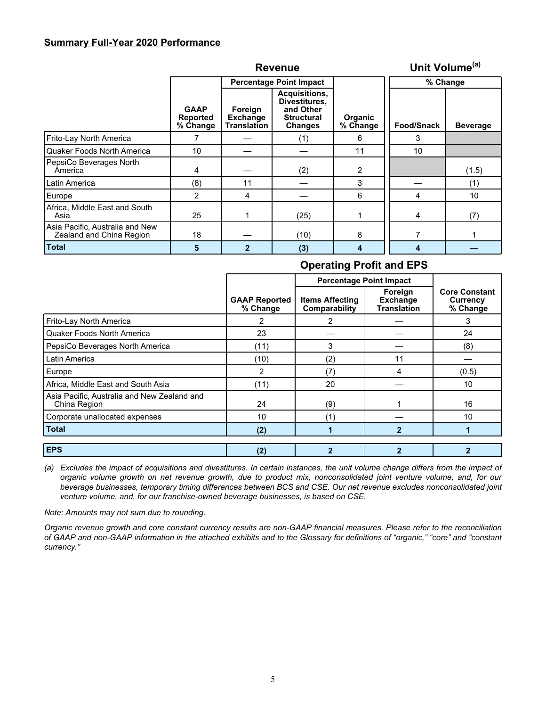## **Summary Full-Year 2020 Performance**

|                                                             |                                            |                                                  | <b>Revenue</b>                                                                     |                            |            | Unit Volume <sup>(a)</sup> |  |  |
|-------------------------------------------------------------|--------------------------------------------|--------------------------------------------------|------------------------------------------------------------------------------------|----------------------------|------------|----------------------------|--|--|
|                                                             |                                            |                                                  | <b>Percentage Point Impact</b>                                                     |                            | % Change   |                            |  |  |
|                                                             | <b>GAAP</b><br><b>Reported</b><br>% Change | Foreign<br><b>Exchange</b><br><b>Translation</b> | Acquisitions,<br>Divestitures,<br>and Other<br><b>Structural</b><br><b>Changes</b> | <b>Organic</b><br>% Change | Food/Snack | <b>Beverage</b>            |  |  |
| Frito-Lay North America                                     |                                            |                                                  | (1)                                                                                | 6                          | 3          |                            |  |  |
| Quaker Foods North America                                  | 10                                         |                                                  |                                                                                    | 11                         | 10         |                            |  |  |
| PepsiCo Beverages North<br>America                          | 4                                          |                                                  | (2)                                                                                | $\overline{2}$             |            | (1.5)                      |  |  |
| Latin America                                               | (8)                                        | 11                                               |                                                                                    | 3                          |            | (1)                        |  |  |
| Europe                                                      | $\overline{2}$                             | 4                                                |                                                                                    | 6                          | 4          | 10                         |  |  |
| Africa, Middle East and South<br>Asia                       | 25                                         |                                                  | (25)                                                                               |                            | 4          | (7)                        |  |  |
| Asia Pacific, Australia and New<br>Zealand and China Region | 18                                         |                                                  | (10)                                                                               | 8                          |            |                            |  |  |
| <b>Total</b>                                                | 5                                          | 2                                                | (3)                                                                                | 4                          | 4          |                            |  |  |

# **Operating Profit and EPS**

|                                                             |                                  | <b>Percentage Point Impact</b>          |                                                  |                                              |
|-------------------------------------------------------------|----------------------------------|-----------------------------------------|--------------------------------------------------|----------------------------------------------|
|                                                             | <b>GAAP Reported</b><br>% Change | <b>Items Affecting</b><br>Comparability | Foreign<br><b>Exchange</b><br><b>Translation</b> | <b>Core Constant</b><br>Currency<br>% Change |
| Frito-Lay North America                                     | 2                                | 2                                       |                                                  | 3                                            |
| <b>Quaker Foods North America</b>                           | 23                               |                                         |                                                  | 24                                           |
| PepsiCo Beverages North America                             | (11)                             | 3                                       |                                                  | (8)                                          |
| Latin America                                               | (10)                             | (2)                                     | 11                                               |                                              |
| Europe                                                      | $\overline{2}$                   | (7)                                     | 4                                                | (0.5)                                        |
| Africa, Middle East and South Asia                          | (11)                             | 20                                      |                                                  | 10                                           |
| Asia Pacific, Australia and New Zealand and<br>China Region | 24                               | (9)                                     |                                                  | 16                                           |
| Corporate unallocated expenses                              | 10                               | (1)                                     |                                                  | 10                                           |
| <b>Total</b>                                                | (2)                              | 1                                       | $\mathbf{2}$                                     |                                              |
| <b>EPS</b>                                                  | (2)                              | 2                                       |                                                  |                                              |

*(a) Excludes the impact of acquisitions and divestitures. In certain instances, the unit volume change differs from the impact of organic volume growth on net revenue growth, due to product mix, nonconsolidated joint venture volume, and, for our beverage businesses, temporary timing differences between BCS and CSE. Our net revenue excludes nonconsolidated joint venture volume, and, for our franchise-owned beverage businesses, is based on CSE.*

*Note: Amounts may not sum due to rounding.*

*Organic revenue growth and core constant currency results are non-GAAP financial measures. Please refer to the reconciliation of GAAP and non-GAAP information in the attached exhibits and to the Glossary for definitions of "organic," "core" and "constant currency."*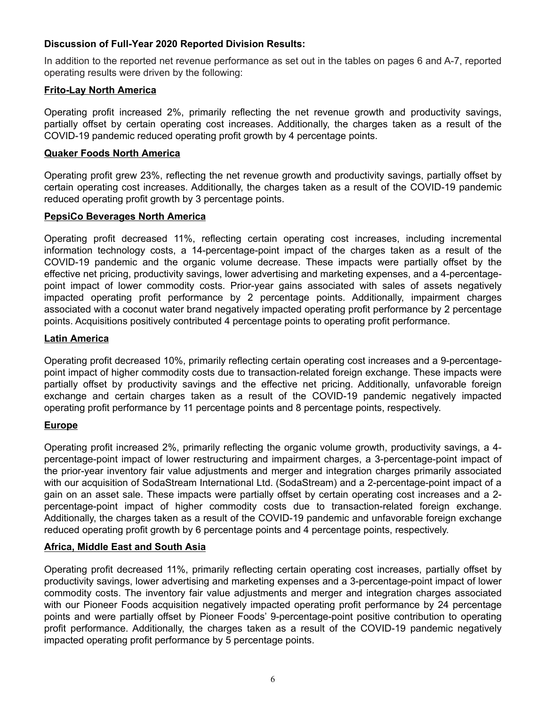# **Discussion of Full-Year 2020 Reported Division Results:**

In addition to the reported net revenue performance as set out in the tables on pages 6 and A-7, reported operating results were driven by the following:

## **Frito-Lay North America**

Operating profit increased 2%, primarily reflecting the net revenue growth and productivity savings, partially offset by certain operating cost increases. Additionally, the charges taken as a result of the COVID-19 pandemic reduced operating profit growth by 4 percentage points.

## **Quaker Foods North America**

Operating profit grew 23%, reflecting the net revenue growth and productivity savings, partially offset by certain operating cost increases. Additionally, the charges taken as a result of the COVID-19 pandemic reduced operating profit growth by 3 percentage points.

## **PepsiCo Beverages North America**

Operating profit decreased 11%, reflecting certain operating cost increases, including incremental information technology costs, a 14-percentage-point impact of the charges taken as a result of the COVID-19 pandemic and the organic volume decrease. These impacts were partially offset by the effective net pricing, productivity savings, lower advertising and marketing expenses, and a 4-percentagepoint impact of lower commodity costs. Prior-year gains associated with sales of assets negatively impacted operating profit performance by 2 percentage points. Additionally, impairment charges associated with a coconut water brand negatively impacted operating profit performance by 2 percentage points. Acquisitions positively contributed 4 percentage points to operating profit performance.

## **Latin America**

Operating profit decreased 10%, primarily reflecting certain operating cost increases and a 9-percentagepoint impact of higher commodity costs due to transaction-related foreign exchange. These impacts were partially offset by productivity savings and the effective net pricing. Additionally, unfavorable foreign exchange and certain charges taken as a result of the COVID-19 pandemic negatively impacted operating profit performance by 11 percentage points and 8 percentage points, respectively.

# **Europe**

Operating profit increased 2%, primarily reflecting the organic volume growth, productivity savings, a 4 percentage-point impact of lower restructuring and impairment charges, a 3-percentage-point impact of the prior-year inventory fair value adjustments and merger and integration charges primarily associated with our acquisition of SodaStream International Ltd. (SodaStream) and a 2-percentage-point impact of a gain on an asset sale. These impacts were partially offset by certain operating cost increases and a 2 percentage-point impact of higher commodity costs due to transaction-related foreign exchange. Additionally, the charges taken as a result of the COVID-19 pandemic and unfavorable foreign exchange reduced operating profit growth by 6 percentage points and 4 percentage points, respectively.

# **Africa, Middle East and South Asia**

Operating profit decreased 11%, primarily reflecting certain operating cost increases, partially offset by productivity savings, lower advertising and marketing expenses and a 3-percentage-point impact of lower commodity costs. The inventory fair value adjustments and merger and integration charges associated with our Pioneer Foods acquisition negatively impacted operating profit performance by 24 percentage points and were partially offset by Pioneer Foods' 9-percentage-point positive contribution to operating profit performance. Additionally, the charges taken as a result of the COVID-19 pandemic negatively impacted operating profit performance by 5 percentage points.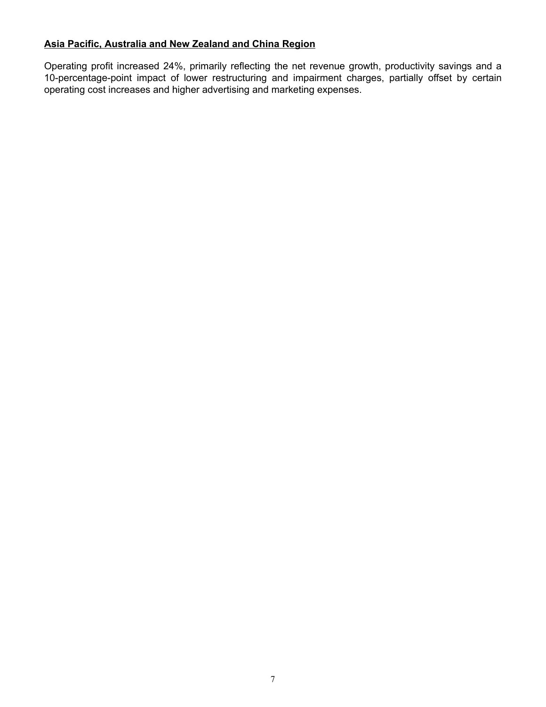# **Asia Pacific, Australia and New Zealand and China Region**

Operating profit increased 24%, primarily reflecting the net revenue growth, productivity savings and a 10-percentage-point impact of lower restructuring and impairment charges, partially offset by certain operating cost increases and higher advertising and marketing expenses.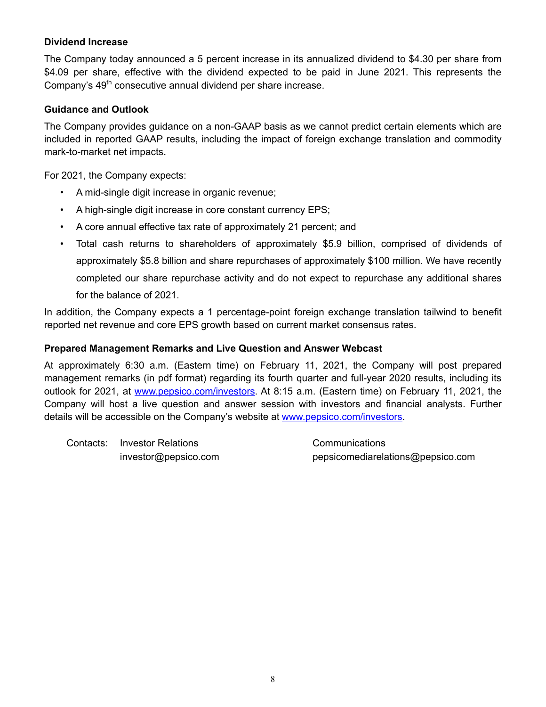# **Dividend Increase**

The Company today announced a 5 percent increase in its annualized dividend to \$4.30 per share from \$4.09 per share, effective with the dividend expected to be paid in June 2021. This represents the Company's 49<sup>th</sup> consecutive annual dividend per share increase.

# **Guidance and Outlook**

The Company provides guidance on a non-GAAP basis as we cannot predict certain elements which are included in reported GAAP results, including the impact of foreign exchange translation and commodity mark-to-market net impacts.

For 2021, the Company expects:

- A mid-single digit increase in organic revenue;
- A high-single digit increase in core constant currency EPS;
- A core annual effective tax rate of approximately 21 percent; and
- Total cash returns to shareholders of approximately \$5.9 billion, comprised of dividends of approximately \$5.8 billion and share repurchases of approximately \$100 million. We have recently completed our share repurchase activity and do not expect to repurchase any additional shares for the balance of 2021.

In addition, the Company expects a 1 percentage-point foreign exchange translation tailwind to benefit reported net revenue and core EPS growth based on current market consensus rates.

# **Prepared Management Remarks and Live Question and Answer Webcast**

At approximately 6:30 a.m. (Eastern time) on February 11, 2021, the Company will post prepared management remarks (in pdf format) regarding its fourth quarter and full-year 2020 results, including its outlook for 2021, at www.pepsico.com/investors. At 8:15 a.m. (Eastern time) on February 11, 2021, the Company will host a live question and answer session with investors and financial analysts. Further details will be accessible on the Company's website at www.pepsico.com/investors.

Contacts: Investor Relations Communications

investor@pepsico.com pepsicomediarelations@pepsico.com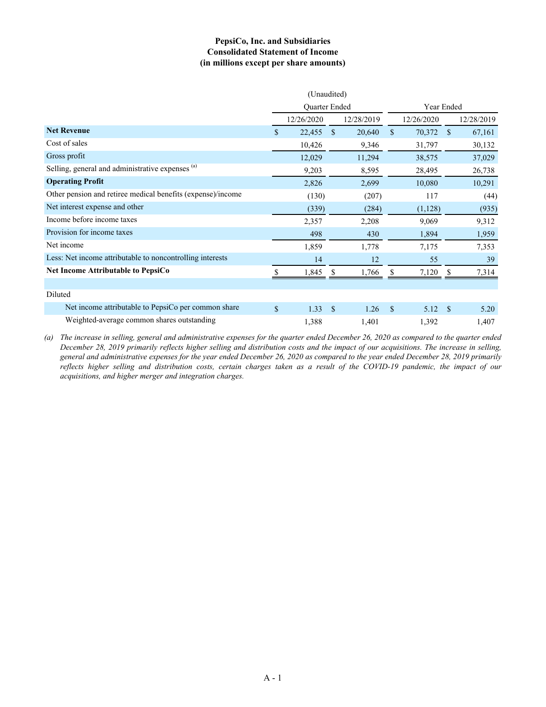## **PepsiCo, Inc. and Subsidiaries Consolidated Statement of Income (in millions except per share amounts)**

|                                                             |             | (Unaudited)   |               |            |               |            |               |            |
|-------------------------------------------------------------|-------------|---------------|---------------|------------|---------------|------------|---------------|------------|
|                                                             |             | Quarter Ended |               |            | Year Ended    |            |               |            |
|                                                             |             | 12/26/2020    |               | 12/28/2019 |               | 12/26/2020 |               | 12/28/2019 |
| <b>Net Revenue</b>                                          | \$          | 22,455        | $\mathbb{S}$  | 20,640     | \$            | 70,372     | $\mathbf{s}$  | 67,161     |
| Cost of sales                                               |             | 10,426        |               | 9,346      |               | 31,797     |               | 30,132     |
| Gross profit                                                |             | 12,029        |               | 11,294     |               | 38,575     |               | 37,029     |
| Selling, general and administrative expenses (a)            |             | 9,203         |               | 8,595      |               | 28,495     |               | 26,738     |
| <b>Operating Profit</b>                                     |             | 2,826         |               | 2,699      |               | 10,080     |               | 10,291     |
| Other pension and retiree medical benefits (expense)/income |             | (130)         |               | (207)      |               | 117        |               | (44)       |
| Net interest expense and other                              |             | (339)         |               | (284)      |               | (1, 128)   |               | (935)      |
| Income before income taxes                                  |             | 2,357         |               | 2,208      |               | 9,069      |               | 9,312      |
| Provision for income taxes                                  |             | 498           |               | 430        |               | 1,894      |               | 1,959      |
| Net income                                                  |             | 1,859         |               | 1,778      |               | 7,175      |               | 7,353      |
| Less: Net income attributable to noncontrolling interests   |             | 14            |               | 12         |               | 55         |               | 39         |
| <b>Net Income Attributable to PepsiCo</b>                   | S           | 1,845         | -S            | 1,766      | S             | 7,120      | <sup>\$</sup> | 7,314      |
|                                                             |             |               |               |            |               |            |               |            |
| Diluted                                                     |             |               |               |            |               |            |               |            |
| Net income attributable to PepsiCo per common share         | $\mathbf S$ | 1.33          | <sup>\$</sup> | 1.26       | <sup>\$</sup> | 5.12       | <sup>\$</sup> | 5.20       |
| Weighted-average common shares outstanding                  |             | 1,388         |               | 1,401      |               | 1,392      |               | 1,407      |

*(a) The increase in selling, general and administrative expenses for the quarter ended December 26, 2020 as compared to the quarter ended December 28, 2019 primarily reflects higher selling and distribution costs and the impact of our acquisitions. The increase in selling, general and administrative expenses for the year ended December 26, 2020 as compared to the year ended December 28, 2019 primarily reflects higher selling and distribution costs, certain charges taken as a result of the COVID-19 pandemic, the impact of our acquisitions, and higher merger and integration charges.*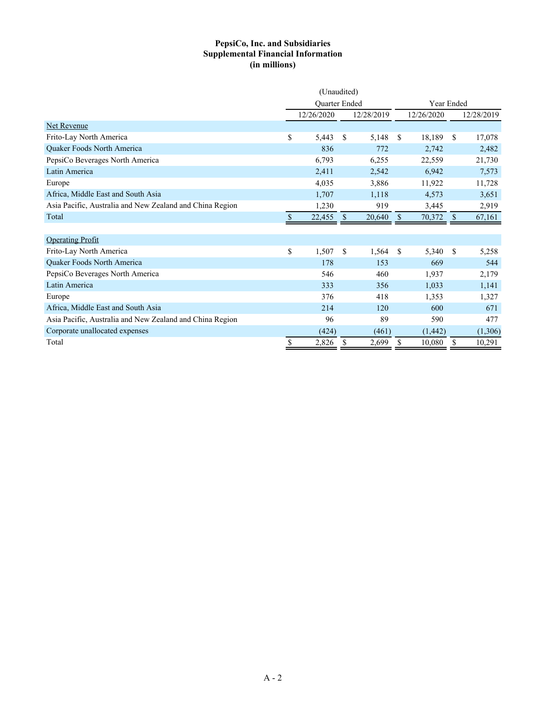## **PepsiCo, Inc. and Subsidiaries Supplemental Financial Information (in millions)**

|                                                          | (Unaudited) |               |    |            |               |            |               |            |
|----------------------------------------------------------|-------------|---------------|----|------------|---------------|------------|---------------|------------|
|                                                          |             | Quarter Ended |    |            | Year Ended    |            |               |            |
|                                                          |             | 12/26/2020    |    | 12/28/2019 |               | 12/26/2020 |               | 12/28/2019 |
| Net Revenue                                              |             |               |    |            |               |            |               |            |
| Frito-Lay North America                                  | \$          | 5,443         | \$ | 5,148      | \$            | 18,189     | <sup>\$</sup> | 17,078     |
| Quaker Foods North America                               |             | 836           |    | 772        |               | 2,742      |               | 2,482      |
| PepsiCo Beverages North America                          |             | 6,793         |    | 6,255      |               | 22,559     |               | 21,730     |
| Latin America                                            |             | 2,411         |    | 2,542      |               | 6,942      |               | 7,573      |
| Europe                                                   |             | 4,035         |    | 3,886      |               | 11,922     |               | 11,728     |
| Africa, Middle East and South Asia                       |             | 1,707         |    | 1,118      |               | 4,573      |               | 3,651      |
| Asia Pacific, Australia and New Zealand and China Region |             | 1,230         |    | 919        |               | 3,445      |               | 2,919      |
| Total                                                    | \$          | 22,455        | \$ | 20,640     | \$            | 70,372     | S             | 67,161     |
|                                                          |             |               |    |            |               |            |               |            |
| <b>Operating Profit</b>                                  |             |               |    |            |               |            |               |            |
| Frito-Lay North America                                  | \$          | 1,507         | \$ | 1,564      | <sup>\$</sup> | 5,340      | \$            | 5,258      |
| Quaker Foods North America                               |             | 178           |    | 153        |               | 669        |               | 544        |
| PepsiCo Beverages North America                          |             | 546           |    | 460        |               | 1,937      |               | 2,179      |
| Latin America                                            |             | 333           |    | 356        |               | 1,033      |               | 1,141      |
| Europe                                                   |             | 376           |    | 418        |               | 1,353      |               | 1,327      |
| Africa, Middle East and South Asia                       |             | 214           |    | 120        |               | 600        |               | 671        |
| Asia Pacific, Australia and New Zealand and China Region |             | 96            |    | 89         |               | 590        |               | 477        |
| Corporate unallocated expenses                           |             | (424)         |    | (461)      |               | (1, 442)   |               | (1,306)    |
| Total                                                    | \$          | 2,826         | \$ | 2,699      | \$            | 10,080     | \$            | 10,291     |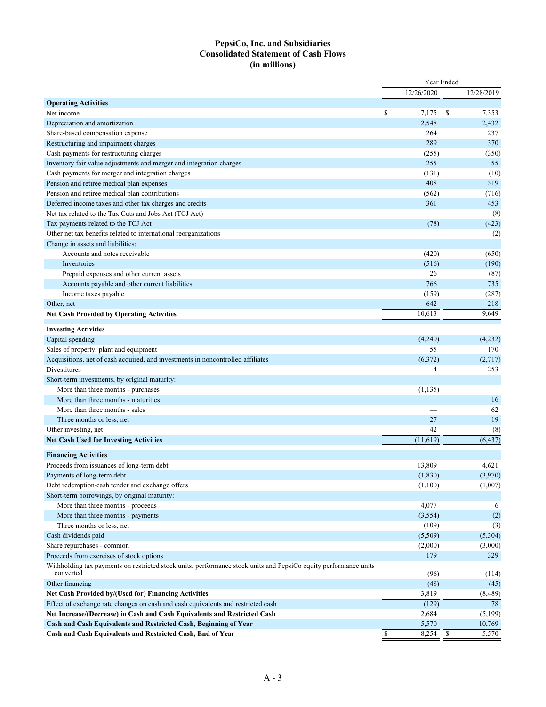## **PepsiCo, Inc. and Subsidiaries Consolidated Statement of Cash Flows (in millions)**

|                                                                                                                               | Year Ended                            |                |
|-------------------------------------------------------------------------------------------------------------------------------|---------------------------------------|----------------|
|                                                                                                                               | 12/26/2020                            | 12/28/2019     |
| <b>Operating Activities</b>                                                                                                   |                                       |                |
| Net income                                                                                                                    | \$<br>7,175                           | -S<br>7,353    |
| Depreciation and amortization                                                                                                 | 2,548                                 | 2,432          |
| Share-based compensation expense                                                                                              | 264                                   | 237            |
| Restructuring and impairment charges                                                                                          | 289                                   | 370            |
| Cash payments for restructuring charges                                                                                       | (255)                                 | (350)          |
| Inventory fair value adjustments and merger and integration charges                                                           | 255                                   | 55             |
| Cash payments for merger and integration charges                                                                              | (131)                                 | (10)           |
| Pension and retiree medical plan expenses                                                                                     | 408                                   | 519            |
| Pension and retiree medical plan contributions                                                                                | (562)                                 | (716)          |
| Deferred income taxes and other tax charges and credits                                                                       | 361                                   | 453            |
| Net tax related to the Tax Cuts and Jobs Act (TCJ Act)                                                                        |                                       | (8)            |
| Tax payments related to the TCJ Act                                                                                           | (78)                                  | (423)          |
| Other net tax benefits related to international reorganizations                                                               |                                       | (2)            |
| Change in assets and liabilities:                                                                                             |                                       |                |
| Accounts and notes receivable                                                                                                 | (420)                                 | (650)          |
| Inventories                                                                                                                   | (516)                                 | (190)          |
| Prepaid expenses and other current assets                                                                                     | 26                                    | (87)           |
| Accounts payable and other current liabilities                                                                                | 766                                   | 735            |
| Income taxes payable                                                                                                          | (159)                                 | (287)          |
| Other, net                                                                                                                    | 642                                   | 218            |
| <b>Net Cash Provided by Operating Activities</b>                                                                              | 10,613                                | 9,649          |
|                                                                                                                               |                                       |                |
| <b>Investing Activities</b>                                                                                                   |                                       |                |
| Capital spending                                                                                                              | (4,240)                               | (4,232)        |
| Sales of property, plant and equipment                                                                                        | 55                                    | 170            |
| Acquisitions, net of cash acquired, and investments in noncontrolled affiliates                                               | (6,372)                               | (2,717)        |
| Divestitures                                                                                                                  | 4                                     | 253            |
| Short-term investments, by original maturity:                                                                                 |                                       |                |
| More than three months - purchases                                                                                            | (1, 135)                              |                |
| More than three months - maturities                                                                                           |                                       | 16             |
| More than three months - sales                                                                                                |                                       | 62             |
| Three months or less, net                                                                                                     | 27                                    | 19             |
| Other investing, net                                                                                                          | 42                                    | (8)            |
| <b>Net Cash Used for Investing Activities</b>                                                                                 | (11,619)                              | (6, 437)       |
| <b>Financing Activities</b>                                                                                                   |                                       |                |
| Proceeds from issuances of long-term debt                                                                                     | 13,809                                | 4,621          |
| Payments of long-term debt                                                                                                    | (1, 830)                              | (3,970)        |
| Debt redemption/cash tender and exchange offers                                                                               | (1,100)                               | (1,007)        |
| Short-term borrowings, by original maturity:                                                                                  |                                       |                |
| More than three months - proceeds                                                                                             | 4,077                                 | 6              |
| More than three months - payments                                                                                             | (3, 554)                              | (2)            |
| Three months or less, net                                                                                                     | (109)                                 | (3)            |
| Cash dividends paid                                                                                                           | (5,509)                               | (5,304)        |
| Share repurchases - common                                                                                                    | (2,000)                               |                |
| Proceeds from exercises of stock options                                                                                      | 179                                   | (3,000)<br>329 |
|                                                                                                                               |                                       |                |
| Withholding tax payments on restricted stock units, performance stock units and PepsiCo equity performance units<br>converted | (96)                                  | (114)          |
| Other financing                                                                                                               | (48)                                  | (45)           |
| Net Cash Provided by/(Used for) Financing Activities                                                                          | 3,819                                 | (8, 489)       |
| Effect of exchange rate changes on cash and cash equivalents and restricted cash                                              | (129)                                 | 78             |
| Net Increase/(Decrease) in Cash and Cash Equivalents and Restricted Cash                                                      | 2,684                                 | (5,199)        |
| Cash and Cash Equivalents and Restricted Cash, Beginning of Year                                                              | 5,570                                 | 10,769         |
| Cash and Cash Equivalents and Restricted Cash, End of Year                                                                    | $\mathbb{S}$<br>8,254<br>$\mathbf{s}$ | 5,570          |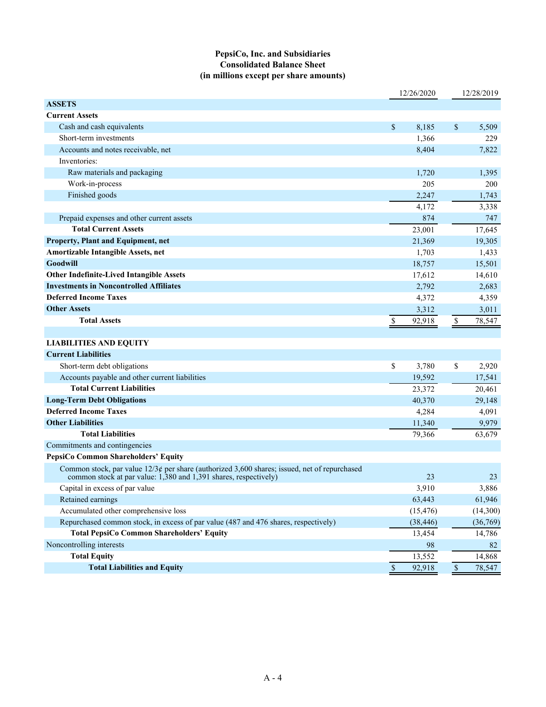## **PepsiCo, Inc. and Subsidiaries Consolidated Balance Sheet (in millions except per share amounts)**

|                                                                                                                                                                       |              | 12/26/2020 |             | 12/28/2019 |
|-----------------------------------------------------------------------------------------------------------------------------------------------------------------------|--------------|------------|-------------|------------|
| <b>ASSETS</b>                                                                                                                                                         |              |            |             |            |
| <b>Current Assets</b>                                                                                                                                                 |              |            |             |            |
| Cash and cash equivalents                                                                                                                                             | \$           | 8,185      | \$          | 5,509      |
| Short-term investments                                                                                                                                                |              | 1,366      |             | 229        |
| Accounts and notes receivable, net                                                                                                                                    |              | 8,404      |             | 7,822      |
| Inventories:                                                                                                                                                          |              |            |             |            |
| Raw materials and packaging                                                                                                                                           |              | 1,720      |             | 1,395      |
| Work-in-process                                                                                                                                                       |              | 205        |             | 200        |
| Finished goods                                                                                                                                                        |              | 2,247      |             | 1,743      |
|                                                                                                                                                                       |              | 4,172      |             | 3,338      |
| Prepaid expenses and other current assets                                                                                                                             |              | 874        |             | 747        |
| <b>Total Current Assets</b>                                                                                                                                           |              | 23,001     |             | 17,645     |
| Property, Plant and Equipment, net                                                                                                                                    |              | 21,369     |             | 19,305     |
| Amortizable Intangible Assets, net                                                                                                                                    |              | 1,703      |             | 1,433      |
| <b>Goodwill</b>                                                                                                                                                       |              | 18,757     |             | 15,501     |
| <b>Other Indefinite-Lived Intangible Assets</b>                                                                                                                       |              | 17,612     |             | 14,610     |
| <b>Investments in Noncontrolled Affiliates</b>                                                                                                                        |              | 2,792      |             | 2,683      |
| <b>Deferred Income Taxes</b>                                                                                                                                          |              | 4,372      |             | 4,359      |
| <b>Other Assets</b>                                                                                                                                                   |              | 3,312      |             | 3,011      |
| <b>Total Assets</b>                                                                                                                                                   | $\mathbb{S}$ | 92,918     | $\mathbb S$ | 78,547     |
|                                                                                                                                                                       |              |            |             |            |
| <b>LIABILITIES AND EQUITY</b>                                                                                                                                         |              |            |             |            |
| <b>Current Liabilities</b>                                                                                                                                            |              |            |             |            |
| Short-term debt obligations                                                                                                                                           | \$           | 3,780      | \$          | 2,920      |
| Accounts payable and other current liabilities                                                                                                                        |              | 19,592     |             | 17,541     |
| <b>Total Current Liabilities</b>                                                                                                                                      |              | 23,372     |             | 20,461     |
| <b>Long-Term Debt Obligations</b>                                                                                                                                     |              | 40,370     |             | 29,148     |
| <b>Deferred Income Taxes</b>                                                                                                                                          |              | 4,284      |             | 4,091      |
| <b>Other Liabilities</b>                                                                                                                                              |              | 11,340     |             | 9,979      |
| <b>Total Liabilities</b>                                                                                                                                              |              | 79,366     |             | 63,679     |
| Commitments and contingencies                                                                                                                                         |              |            |             |            |
| PepsiCo Common Shareholders' Equity                                                                                                                                   |              |            |             |            |
| Common stock, par value $12/3\phi$ per share (authorized 3,600 shares; issued, net of repurchased<br>common stock at par value: 1,380 and 1,391 shares, respectively) |              | 23         |             | 23         |
| Capital in excess of par value                                                                                                                                        |              | 3,910      |             | 3,886      |
| Retained earnings                                                                                                                                                     |              | 63,443     |             | 61,946     |
| Accumulated other comprehensive loss                                                                                                                                  |              | (15, 476)  |             | (14,300)   |
| Repurchased common stock, in excess of par value (487 and 476 shares, respectively)                                                                                   |              | (38, 446)  |             | (36,769)   |
| <b>Total PepsiCo Common Shareholders' Equity</b>                                                                                                                      |              | 13,454     |             | 14,786     |
| Noncontrolling interests                                                                                                                                              |              | 98         |             | 82         |
| <b>Total Equity</b>                                                                                                                                                   |              | 13,552     |             | 14,868     |
| <b>Total Liabilities and Equity</b>                                                                                                                                   | $\sqrt{\ }$  | 92,918     | $\mathbb S$ | 78,547     |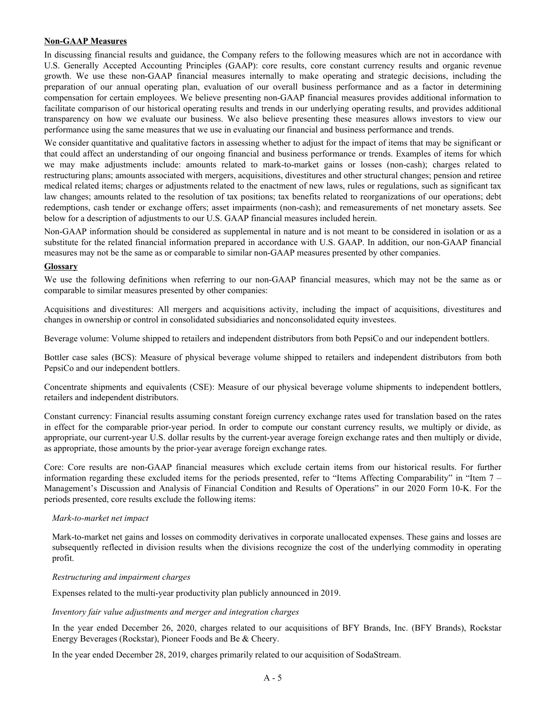#### **Non-GAAP Measures**

In discussing financial results and guidance, the Company refers to the following measures which are not in accordance with U.S. Generally Accepted Accounting Principles (GAAP): core results, core constant currency results and organic revenue growth. We use these non-GAAP financial measures internally to make operating and strategic decisions, including the preparation of our annual operating plan, evaluation of our overall business performance and as a factor in determining compensation for certain employees. We believe presenting non-GAAP financial measures provides additional information to facilitate comparison of our historical operating results and trends in our underlying operating results, and provides additional transparency on how we evaluate our business. We also believe presenting these measures allows investors to view our performance using the same measures that we use in evaluating our financial and business performance and trends.

We consider quantitative and qualitative factors in assessing whether to adjust for the impact of items that may be significant or that could affect an understanding of our ongoing financial and business performance or trends. Examples of items for which we may make adjustments include: amounts related to mark-to-market gains or losses (non-cash); charges related to restructuring plans; amounts associated with mergers, acquisitions, divestitures and other structural changes; pension and retiree medical related items; charges or adjustments related to the enactment of new laws, rules or regulations, such as significant tax law changes; amounts related to the resolution of tax positions; tax benefits related to reorganizations of our operations; debt redemptions, cash tender or exchange offers; asset impairments (non-cash); and remeasurements of net monetary assets. See below for a description of adjustments to our U.S. GAAP financial measures included herein.

Non-GAAP information should be considered as supplemental in nature and is not meant to be considered in isolation or as a substitute for the related financial information prepared in accordance with U.S. GAAP. In addition, our non-GAAP financial measures may not be the same as or comparable to similar non-GAAP measures presented by other companies.

#### **Glossary**

We use the following definitions when referring to our non-GAAP financial measures, which may not be the same as or comparable to similar measures presented by other companies:

Acquisitions and divestitures: All mergers and acquisitions activity, including the impact of acquisitions, divestitures and changes in ownership or control in consolidated subsidiaries and nonconsolidated equity investees.

Beverage volume: Volume shipped to retailers and independent distributors from both PepsiCo and our independent bottlers.

Bottler case sales (BCS): Measure of physical beverage volume shipped to retailers and independent distributors from both PepsiCo and our independent bottlers.

Concentrate shipments and equivalents (CSE): Measure of our physical beverage volume shipments to independent bottlers, retailers and independent distributors.

Constant currency: Financial results assuming constant foreign currency exchange rates used for translation based on the rates in effect for the comparable prior-year period. In order to compute our constant currency results, we multiply or divide, as appropriate, our current-year U.S. dollar results by the current-year average foreign exchange rates and then multiply or divide, as appropriate, those amounts by the prior-year average foreign exchange rates.

Core: Core results are non-GAAP financial measures which exclude certain items from our historical results. For further information regarding these excluded items for the periods presented, refer to "Items Affecting Comparability" in "Item 7 – Management's Discussion and Analysis of Financial Condition and Results of Operations" in our 2020 Form 10-K. For the periods presented, core results exclude the following items:

#### *Mark-to-market net impact*

Mark-to-market net gains and losses on commodity derivatives in corporate unallocated expenses. These gains and losses are subsequently reflected in division results when the divisions recognize the cost of the underlying commodity in operating profit.

#### *Restructuring and impairment charges*

Expenses related to the multi-year productivity plan publicly announced in 2019.

#### *Inventory fair value adjustments and merger and integration charges*

In the year ended December 26, 2020, charges related to our acquisitions of BFY Brands, Inc. (BFY Brands), Rockstar Energy Beverages (Rockstar), Pioneer Foods and Be & Cheery.

In the year ended December 28, 2019, charges primarily related to our acquisition of SodaStream.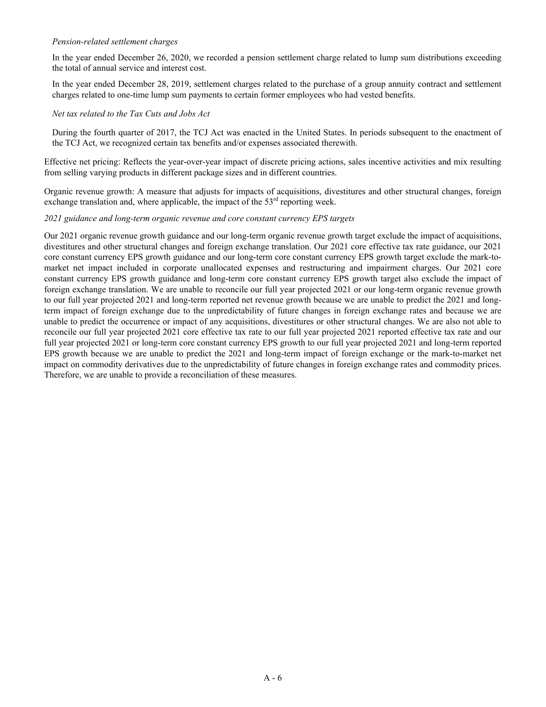#### *Pension-related settlement charges*

In the year ended December 26, 2020, we recorded a pension settlement charge related to lump sum distributions exceeding the total of annual service and interest cost.

In the year ended December 28, 2019, settlement charges related to the purchase of a group annuity contract and settlement charges related to one-time lump sum payments to certain former employees who had vested benefits.

#### *Net tax related to the Tax Cuts and Jobs Act*

During the fourth quarter of 2017, the TCJ Act was enacted in the United States. In periods subsequent to the enactment of the TCJ Act, we recognized certain tax benefits and/or expenses associated therewith.

Effective net pricing: Reflects the year-over-year impact of discrete pricing actions, sales incentive activities and mix resulting from selling varying products in different package sizes and in different countries.

Organic revenue growth: A measure that adjusts for impacts of acquisitions, divestitures and other structural changes, foreign exchange translation and, where applicable, the impact of the  $53<sup>rd</sup>$  reporting week.

#### *2021 guidance and long-term organic revenue and core constant currency EPS targets*

Our 2021 organic revenue growth guidance and our long-term organic revenue growth target exclude the impact of acquisitions, divestitures and other structural changes and foreign exchange translation. Our 2021 core effective tax rate guidance, our 2021 core constant currency EPS growth guidance and our long-term core constant currency EPS growth target exclude the mark-tomarket net impact included in corporate unallocated expenses and restructuring and impairment charges. Our 2021 core constant currency EPS growth guidance and long-term core constant currency EPS growth target also exclude the impact of foreign exchange translation. We are unable to reconcile our full year projected 2021 or our long-term organic revenue growth to our full year projected 2021 and long-term reported net revenue growth because we are unable to predict the 2021 and longterm impact of foreign exchange due to the unpredictability of future changes in foreign exchange rates and because we are unable to predict the occurrence or impact of any acquisitions, divestitures or other structural changes. We are also not able to reconcile our full year projected 2021 core effective tax rate to our full year projected 2021 reported effective tax rate and our full year projected 2021 or long-term core constant currency EPS growth to our full year projected 2021 and long-term reported EPS growth because we are unable to predict the 2021 and long-term impact of foreign exchange or the mark-to-market net impact on commodity derivatives due to the unpredictability of future changes in foreign exchange rates and commodity prices. Therefore, we are unable to provide a reconciliation of these measures.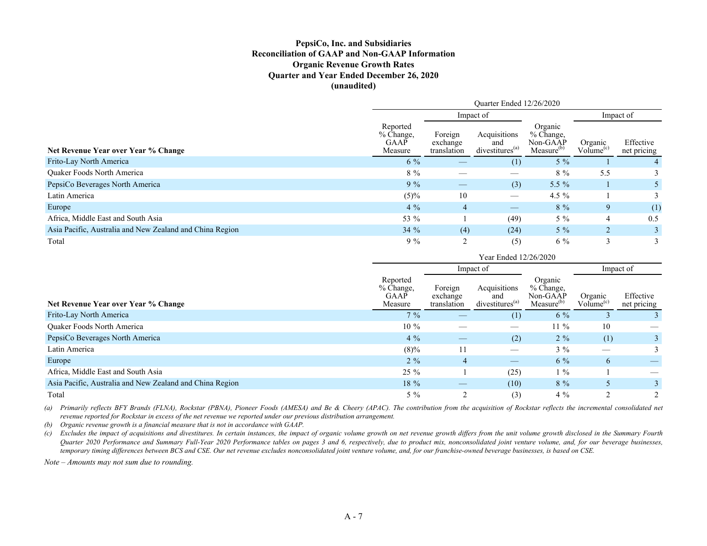### **PepsiCo, Inc. and Subsidiaries Reconciliation of GAAP and Non-GAAP Information Organic Revenue Growth Rates Quarter and Year Ended December 26, 2020 (unaudited)**

|                                                          | Quarter Ended 12/26/2020                 |                                    |                                                    |                                                              |                                  |                          |  |
|----------------------------------------------------------|------------------------------------------|------------------------------------|----------------------------------------------------|--------------------------------------------------------------|----------------------------------|--------------------------|--|
|                                                          | Impact of                                |                                    |                                                    |                                                              |                                  | Impact of                |  |
| Net Revenue Year over Year % Change                      | Reported<br>% Change,<br>GAAP<br>Measure | Foreign<br>exchange<br>translation | Acquisitions<br>and<br>divestitures <sup>(a)</sup> | Organic<br>$%$ Change,<br>Non-GAAP<br>Measure <sup>(b)</sup> | Organic<br>Volume <sup>(c)</sup> | Effective<br>net pricing |  |
| Frito-Lay North America                                  | $6\%$                                    |                                    | (1)                                                | $5\%$                                                        |                                  |                          |  |
| <b>Ouaker Foods North America</b>                        | $8\%$                                    |                                    |                                                    | $8\%$                                                        | 5.5                              |                          |  |
| PepsiCo Beverages North America                          | $9\%$                                    |                                    | (3)                                                | 5.5 $%$                                                      |                                  |                          |  |
| Latin America                                            | (5)%                                     | 10                                 |                                                    | 4.5 $%$                                                      |                                  |                          |  |
| Europe                                                   | $4\%$                                    | $\overline{4}$                     |                                                    | $8\%$                                                        | 9                                | (1)                      |  |
| Africa, Middle East and South Asia                       | 53 %                                     |                                    | (49)                                               | $5\%$                                                        |                                  | 0.5                      |  |
| Asia Pacific, Australia and New Zealand and China Region | 34%                                      | (4)                                | (24)                                               | $5\%$                                                        | $\overline{2}$                   |                          |  |
| Total                                                    | $9\%$                                    | ◠                                  | (5)                                                | $6\%$                                                        | 3                                |                          |  |

|                                                          | Year Ended 12/26/2020                           |                                    |                                                    |                                                            |                                  |                          |  |  |
|----------------------------------------------------------|-------------------------------------------------|------------------------------------|----------------------------------------------------|------------------------------------------------------------|----------------------------------|--------------------------|--|--|
|                                                          |                                                 |                                    | Impact of                                          |                                                            |                                  | Impact of                |  |  |
| Net Revenue Year over Year % Change                      | Reported<br>% Change,<br><b>GAAP</b><br>Measure | Foreign<br>exchange<br>translation | Acquisitions<br>and<br>divestitures <sup>(a)</sup> | Organic<br>% Change.<br>Non-GAAP<br>Measure <sup>(b)</sup> | Organic<br>Volume <sup>(c)</sup> | Effective<br>net pricing |  |  |
| Frito-Lay North America                                  | $7\%$                                           |                                    | (1)                                                | $6\%$                                                      |                                  | $\mathcal{E}$            |  |  |
| Quaker Foods North America                               | $10\%$                                          |                                    |                                                    | $11\%$                                                     | 10                               |                          |  |  |
| PepsiCo Beverages North America                          | $4\%$                                           |                                    | (2)                                                | $2\%$                                                      | (1)                              |                          |  |  |
| Latin America                                            | $(8)\%$                                         |                                    |                                                    | $3\%$                                                      |                                  | 3                        |  |  |
| Europe                                                   | $2\%$                                           | 4                                  | $\hspace{0.1mm}-\hspace{0.1mm}$                    | $6\%$                                                      | 6                                |                          |  |  |
| Africa, Middle East and South Asia                       | $25\%$                                          |                                    | (25)                                               | $1\%$                                                      |                                  |                          |  |  |
| Asia Pacific, Australia and New Zealand and China Region | $18\%$                                          | $\overbrace{\phantom{12333}}$      | (10)                                               | $8\%$                                                      | 5                                | 3                        |  |  |
| Total                                                    | $5\%$                                           |                                    | (3)                                                | $4\%$                                                      |                                  | $\mathcal{D}$            |  |  |

*(a) Primarily reflects BFY Brands (FLNA), Rockstar (PBNA), Pioneer Foods (AMESA) and Be & Cheery (APAC). The contribution from the acquisition of Rockstar reflects the incremental consolidated net revenue reported for Rockstar in excess of the net revenue we reported under our previous distribution arrangement.*

*(b) Organic revenue growth is a financial measure that is not in accordance with GAAP.*

*(c) Excludes the impact of acquisitions and divestitures. In certain instances, the impact of organic volume growth on net revenue growth differs from the unit volume growth disclosed in the Summary Fourth Quarter 2020 Performance and Summary Full-Year 2020 Performance tables on pages 3 and 6, respectively, due to product mix, nonconsolidated joint venture volume, and, for our beverage businesses, temporary timing differences between BCS and CSE. Our net revenue excludes nonconsolidated joint venture volume, and, for our franchise-owned beverage businesses, is based on CSE.*

*Note – Amounts may not sum due to rounding.*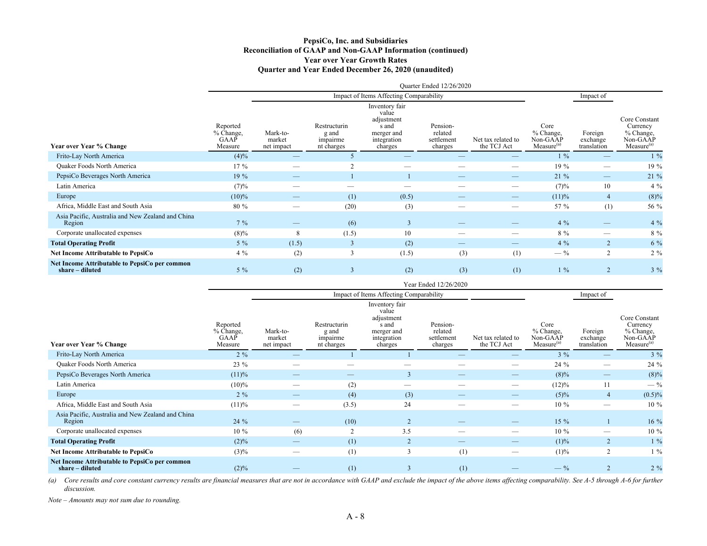#### **PepsiCo, Inc. and Subsidiaries Reconciliation of GAAP and Non-GAAP Information (continued) Year over Year Growth Rates Quarter and Year Ended December 26, 2020 (unaudited)**

|                                                                  | Quarter Ended 12/26/2020                 |                                  |                                                 |                                                                                        |                                              |                                   |                                                         |                                    |                                                                              |  |  |  |  |  |
|------------------------------------------------------------------|------------------------------------------|----------------------------------|-------------------------------------------------|----------------------------------------------------------------------------------------|----------------------------------------------|-----------------------------------|---------------------------------------------------------|------------------------------------|------------------------------------------------------------------------------|--|--|--|--|--|
|                                                                  |                                          |                                  |                                                 | Impact of Items Affecting Comparability                                                |                                              |                                   |                                                         | Impact of                          |                                                                              |  |  |  |  |  |
| Year over Year % Change                                          | Reported<br>% Change,<br>GAAP<br>Measure | Mark-to-<br>market<br>net impact | Restructurin<br>g and<br>impairme<br>nt charges | Inventory fair<br>value<br>adjustment<br>s and<br>merger and<br>integration<br>charges | Pension-<br>related<br>settlement<br>charges | Net tax related to<br>the TCJ Act | Core<br>% Change,<br>Non-GAAP<br>Measure <sup>(a)</sup> | Foreign<br>exchange<br>translation | Core Constant<br>Currency<br>% Change,<br>Non-GAAP<br>Measure <sup>(a)</sup> |  |  |  |  |  |
| Frito-Lay North America                                          | $(4)\%$                                  | _                                |                                                 |                                                                                        |                                              |                                   | $1\%$                                                   |                                    | $1\%$                                                                        |  |  |  |  |  |
| Quaker Foods North America                                       | $17\%$                                   |                                  |                                                 |                                                                                        |                                              |                                   | $19\%$                                                  |                                    | 19 %                                                                         |  |  |  |  |  |
| PepsiCo Beverages North America                                  | 19%                                      |                                  |                                                 |                                                                                        |                                              |                                   | $21\%$                                                  |                                    | 21 %                                                                         |  |  |  |  |  |
| Latin America                                                    | (7)%                                     | _                                |                                                 |                                                                                        |                                              |                                   | (7)%                                                    | 10                                 | $4\%$                                                                        |  |  |  |  |  |
| Europe                                                           | $(10)\%$                                 |                                  | (1)                                             | (0.5)                                                                                  |                                              |                                   | (11)%                                                   | $\overline{4}$                     | $(8)\%$                                                                      |  |  |  |  |  |
| Africa, Middle East and South Asia                               | 80 %                                     | --                               | (20)                                            | (3)                                                                                    |                                              |                                   | 57 %                                                    | (1)                                | 56 %                                                                         |  |  |  |  |  |
| Asia Pacific, Australia and New Zealand and China<br>Region      | $7\%$                                    |                                  | (6)                                             | $\overline{3}$                                                                         |                                              |                                   | $4\%$                                                   |                                    | $4\%$                                                                        |  |  |  |  |  |
| Corporate unallocated expenses                                   | $(8)\%$                                  | 8                                | (1.5)                                           | 10                                                                                     | $\overline{\phantom{a}}$                     |                                   | $8\%$                                                   |                                    | $8\%$                                                                        |  |  |  |  |  |
| <b>Total Operating Profit</b>                                    | $5\%$                                    | (1.5)                            |                                                 | (2)                                                                                    | $\overline{\phantom{a}}$                     |                                   | $4\%$                                                   | $\overline{2}$                     | $6\%$                                                                        |  |  |  |  |  |
| <b>Net Income Attributable to PepsiCo</b>                        | $4\%$                                    | (2)                              | 3                                               | (1.5)                                                                                  | (3)                                          | (1)                               | $-$ %                                                   | $\overline{2}$                     | $2\%$                                                                        |  |  |  |  |  |
| Net Income Attributable to PepsiCo per common<br>share - diluted | $5\%$                                    | (2)                              |                                                 | (2)                                                                                    | (3)                                          | (1)                               | $1\%$                                                   |                                    | $3\%$                                                                        |  |  |  |  |  |

|                                                                  | Year Ended 12/26/2020                    |                                  |                                                 |                                                                                        |                                              |                                   |                                                         |                                    |                                                                              |  |  |  |  |  |
|------------------------------------------------------------------|------------------------------------------|----------------------------------|-------------------------------------------------|----------------------------------------------------------------------------------------|----------------------------------------------|-----------------------------------|---------------------------------------------------------|------------------------------------|------------------------------------------------------------------------------|--|--|--|--|--|
|                                                                  |                                          |                                  |                                                 | Impact of Items Affecting Comparability                                                |                                              |                                   |                                                         | Impact of                          |                                                                              |  |  |  |  |  |
| Year over Year % Change                                          | Reported<br>% Change,<br>GAAP<br>Measure | Mark-to-<br>market<br>net impact | Restructurin<br>g and<br>impairme<br>nt charges | Inventory fair<br>value<br>adjustment<br>s and<br>merger and<br>integration<br>charges | Pension-<br>related<br>settlement<br>charges | Net tax related to<br>the TCJ Act | Core<br>% Change,<br>Non-GAAP<br>Measure <sup>(a)</sup> | Foreign<br>exchange<br>translation | Core Constant<br>Currency<br>% Change,<br>Non-GAAP<br>Measure <sup>(a)</sup> |  |  |  |  |  |
| Frito-Lay North America                                          | $2\%$                                    |                                  |                                                 |                                                                                        |                                              |                                   | $3\%$                                                   |                                    | $3\%$                                                                        |  |  |  |  |  |
| Quaker Foods North America                                       | $23 \%$                                  |                                  |                                                 |                                                                                        |                                              |                                   | 24 %                                                    |                                    | 24 %                                                                         |  |  |  |  |  |
| PepsiCo Beverages North America                                  | (11)%                                    | _                                | _                                               | 3                                                                                      |                                              |                                   | $(8)\%$                                                 |                                    | $(8)\%$                                                                      |  |  |  |  |  |
| Latin America                                                    | $(10)\%$                                 |                                  | (2)                                             | $\overline{\phantom{a}}$                                                               |                                              |                                   | $(12)\%$                                                | 11                                 | $-$ %                                                                        |  |  |  |  |  |
| Europe                                                           | $2\%$                                    |                                  | (4)                                             | (3)                                                                                    |                                              | –                                 | $(5)\%$                                                 | $\overline{4}$                     | $(0.5)\%$                                                                    |  |  |  |  |  |
| Africa, Middle East and South Asia                               | (11)%                                    |                                  | (3.5)                                           | 24                                                                                     |                                              | __                                | 10 %                                                    |                                    | $10\%$                                                                       |  |  |  |  |  |
| Asia Pacific, Australia and New Zealand and China<br>Region      | 24 %                                     |                                  | (10)                                            | $\overline{2}$                                                                         |                                              |                                   | $15\%$                                                  |                                    | 16 %                                                                         |  |  |  |  |  |
| Corporate unallocated expenses                                   | $10\%$                                   | (6)                              |                                                 | 3.5                                                                                    |                                              |                                   | $10\%$                                                  |                                    | $10\%$                                                                       |  |  |  |  |  |
| <b>Total Operating Profit</b>                                    | $(2)\%$                                  | _                                | (1)                                             | $\overline{2}$                                                                         |                                              | _                                 | $(1)\%$                                                 | 2                                  | $1\%$                                                                        |  |  |  |  |  |
| Net Income Attributable to PepsiCo                               | $(3)\%$                                  |                                  | (1)                                             | 3                                                                                      | (1)                                          |                                   | $(1)\%$                                                 | $\overline{2}$                     | $1\%$                                                                        |  |  |  |  |  |
| Net Income Attributable to PepsiCo per common<br>share – diluted | $(2)\%$                                  |                                  | (1)                                             | 3                                                                                      | (1)                                          |                                   | $-$ %                                                   | $\overline{2}$                     | $2\%$                                                                        |  |  |  |  |  |

(a) Core results and core constant currency results are financial measures that are not in accordance with GAAP and exclude the impact of the above items affecting comparability. See A-5 through A-6 for further *discussion.*

*Note – Amounts may not sum due to rounding.*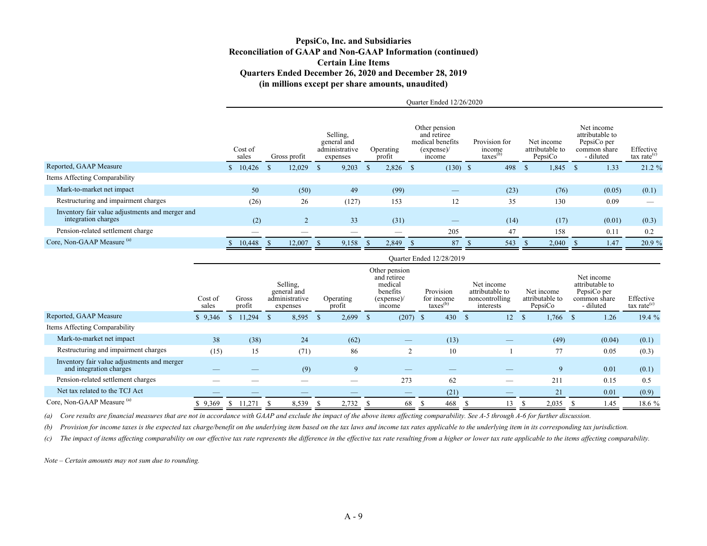### **PepsiCo, Inc. and Subsidiaries Reconciliation of GAAP and Non-GAAP Information (continued) Certain Line Items Quarters Ended December 26, 2020 and December 28, 2019 (in millions except per share amounts, unaudited)**

Quarter Ended 12/26/2020

 $Q = \frac{1}{2}$ 

|                                                                        | Cost of<br>sales |              | Gross profit  | Selling,<br>general and<br>administrative<br>expenses |              | Operating<br>profit | Other pension<br>and retiree<br>medical benefits<br>(expense)<br>income | Provision for<br>income<br>$\text{taxes}^{(b)}$ |              | Net income<br>attributable to<br>PepsiCo | Net income<br>attributable to<br>PepsiCo per<br>common share<br>- diluted | Effective<br>tax rate <sup>(c)</sup> |
|------------------------------------------------------------------------|------------------|--------------|---------------|-------------------------------------------------------|--------------|---------------------|-------------------------------------------------------------------------|-------------------------------------------------|--------------|------------------------------------------|---------------------------------------------------------------------------|--------------------------------------|
| Reported, GAAP Measure                                                 | 10,426           | <sup>S</sup> | 12,029        | 9,203                                                 | <sup>S</sup> | 2,826               | $(130)$ \$                                                              | 498                                             | <sup>S</sup> | 1,845                                    | 1.33                                                                      | $21.2 \%$                            |
| Items Affecting Comparability                                          |                  |              |               |                                                       |              |                     |                                                                         |                                                 |              |                                          |                                                                           |                                      |
| Mark-to-market net impact                                              | 50               |              | (50)          | 49                                                    |              | (99)                |                                                                         | (23)                                            |              | (76)                                     | (0.05)                                                                    | (0.1)                                |
| Restructuring and impairment charges                                   | (26)             |              | 26            | (127)                                                 |              | 153                 | 12                                                                      | 35                                              |              | 130                                      | 0.09                                                                      |                                      |
| Inventory fair value adjustments and merger and<br>integration charges | (2)              |              | $\mathcal{L}$ | 33                                                    |              | (31)                |                                                                         | (14)                                            |              | (17)                                     | (0.01)                                                                    | (0.3)                                |
| Pension-related settlement charge                                      |                  |              | __            | __                                                    |              |                     | 205                                                                     | 47                                              |              | 158                                      | 0.11                                                                      | 0.2                                  |
| Core, Non-GAAP Measure (a)                                             | 10,448           |              | 12,007        | 9,158                                                 | -8           | 2,849               | 87                                                                      | 543                                             |              | 2,040                                    | 1.47                                                                      | 20.9 %                               |

|                                                                        |                  |                 |                                                       |                        |                                                                            | Quarter Ended 12/28/2019                        |                                                              |                                          |                                                                           |                                      |
|------------------------------------------------------------------------|------------------|-----------------|-------------------------------------------------------|------------------------|----------------------------------------------------------------------------|-------------------------------------------------|--------------------------------------------------------------|------------------------------------------|---------------------------------------------------------------------------|--------------------------------------|
|                                                                        | Cost of<br>sales | Gross<br>profit | Selling,<br>general and<br>administrative<br>expenses | Operating<br>profit    | Other pension<br>and retiree<br>medical<br>benefits<br>(expense)<br>income | Provision<br>for income<br>$\text{taxes}^{(b)}$ | Net income<br>attributable to<br>noncontrolling<br>interests | Net income<br>attributable to<br>PepsiCo | Net income<br>attributable to<br>PepsiCo per<br>common share<br>- diluted | Effective<br>tax rate <sup>(c)</sup> |
| Reported, GAAP Measure                                                 | \$9,346          | 11,294          | 8,595<br>Ъ.                                           | 2,699<br><sup>\$</sup> | $(207)$ \$<br>-S                                                           | 430                                             | 12<br>-S                                                     | 1,766<br><sup>\$</sup>                   | 1.26<br><sup>S</sup>                                                      | 19.4 %                               |
| Items Affecting Comparability                                          |                  |                 |                                                       |                        |                                                                            |                                                 |                                                              |                                          |                                                                           |                                      |
| Mark-to-market net impact                                              | 38               | (38)            | 24                                                    | (62)                   |                                                                            | (13)                                            |                                                              | (49)                                     | (0.04)                                                                    | (0.1)                                |
| Restructuring and impairment charges                                   | (15)             | 15              | (71)                                                  | 86                     | $\overline{2}$                                                             | 10                                              |                                                              | 77                                       | 0.05                                                                      | (0.3)                                |
| Inventory fair value adjustments and merger<br>and integration charges |                  |                 | (9)                                                   | 9                      |                                                                            |                                                 |                                                              | 9                                        | 0.01                                                                      | (0.1)                                |
| Pension-related settlement charges                                     |                  |                 |                                                       |                        | 273                                                                        | 62                                              | —                                                            | 211                                      | 0.15                                                                      | 0.5                                  |
| Net tax related to the TCJ Act                                         |                  |                 |                                                       |                        |                                                                            | (21)                                            |                                                              | 21                                       | 0.01                                                                      | (0.9)                                |
| Core, Non-GAAP Measure (a)                                             | 9,369            | 11,271          | 8,539                                                 | 2,732<br>-S            | 68<br>-S                                                                   | 468                                             | 13                                                           | 2,035                                    | 1.45                                                                      | 18.6 %                               |

*(a) Core results are financial measures that are not in accordance with GAAP and exclude the impact of the above items affecting comparability. See A-5 through A-6 for further discussion.*

*(b) Provision for income taxes is the expected tax charge/benefit on the underlying item based on the tax laws and income tax rates applicable to the underlying item in its corresponding tax jurisdiction.* 

(c) The impact of items affecting comparability on our effective tax rate represents the difference in the effective tax rate resulting from a higher or lower tax rate applicable to the items affecting comparability.

*Note – Certain amounts may not sum due to rounding.*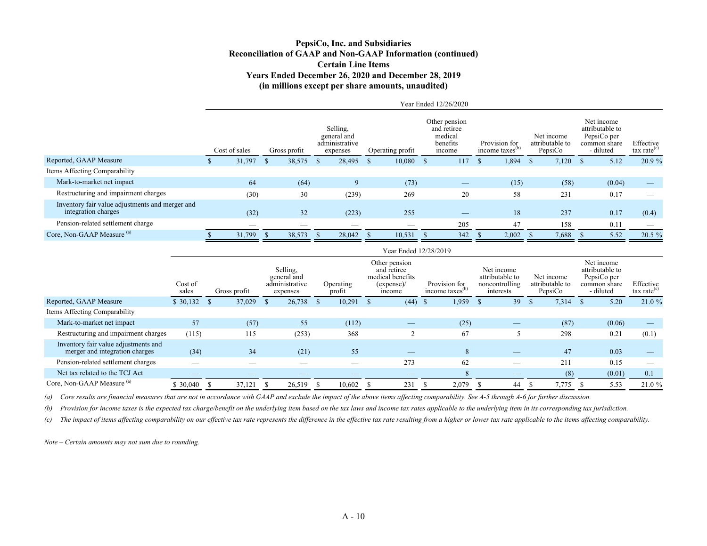#### **PepsiCo, Inc. and Subsidiaries Reconciliation of GAAP and Non-GAAP Information (continued) Certain Line Items Years Ended December 26, 2020 and December 28, 2019 (in millions except per share amounts, unaudited)**

|                                                                        | Year Ended 12/26/2020 |               |  |              |              |                                                       |              |                  |  |                                                               |    |                                              |                                          |                                                                           |                                      |
|------------------------------------------------------------------------|-----------------------|---------------|--|--------------|--------------|-------------------------------------------------------|--------------|------------------|--|---------------------------------------------------------------|----|----------------------------------------------|------------------------------------------|---------------------------------------------------------------------------|--------------------------------------|
|                                                                        |                       | Cost of sales |  | Gross profit |              | Selling.<br>general and<br>administrative<br>expenses |              | Operating profit |  | Other pension<br>and retiree<br>medical<br>benefits<br>income |    | Provision for<br>income taxes <sup>(b)</sup> | Net income<br>attributable to<br>PepsiCo | Net income<br>attributable to<br>PepsiCo per<br>common share<br>- diluted | Effective<br>tax rate <sup>(c)</sup> |
| Reported, GAAP Measure                                                 |                       | 31,797        |  | 38,575       | <sup>S</sup> | 28,495                                                | <sup>S</sup> | 10,080           |  | 117                                                           | -S | 1,894                                        | 7,120                                    | 5.12                                                                      | 20.9 %                               |
| Items Affecting Comparability                                          |                       |               |  |              |              |                                                       |              |                  |  |                                                               |    |                                              |                                          |                                                                           |                                      |
| Mark-to-market net impact                                              |                       | 64            |  | (64)         |              | 9                                                     |              | (73)             |  |                                                               |    | (15)                                         | (58)                                     | (0.04)                                                                    |                                      |
| Restructuring and impairment charges                                   |                       | (30)          |  | 30           |              | (239)                                                 |              | 269              |  | 20                                                            |    | 58                                           | 231                                      | 0.17                                                                      |                                      |
| Inventory fair value adjustments and merger and<br>integration charges |                       | (32)          |  | 32           |              | (223)                                                 |              | 255              |  |                                                               |    | 18                                           | 237                                      | 0.17                                                                      | (0.4)                                |
| Pension-related settlement charge                                      |                       | __            |  | __           |              | __                                                    |              |                  |  | 205                                                           |    | 47                                           | 158                                      | 0.11                                                                      |                                      |
| Core, Non-GAAP Measure (a)                                             |                       | 31.799        |  | 38,573       |              | 28,042                                                |              | 10,531           |  | 342                                                           |    | 2,002                                        | 7,688                                    | 5.52                                                                      | 20.5 %                               |

|                                                                        | Year Ended 12/28/2019 |              |                                                       |                         |                                                                         |                                              |                                                              |                                          |                                                                           |                             |  |
|------------------------------------------------------------------------|-----------------------|--------------|-------------------------------------------------------|-------------------------|-------------------------------------------------------------------------|----------------------------------------------|--------------------------------------------------------------|------------------------------------------|---------------------------------------------------------------------------|-----------------------------|--|
|                                                                        | Cost of<br>sales      | Gross profit | Selling.<br>general and<br>administrative<br>expenses | Operating<br>profit     | Other pension<br>and retiree<br>medical benefits<br>(expense)<br>income | Provision for<br>income taxes <sup>(b)</sup> | Net income<br>attributable to<br>noncontrolling<br>interests | Net income<br>attributable to<br>PepsiCo | Net income<br>attributable to<br>PepsiCo per<br>common share<br>- diluted | Effective<br>tax rate $(c)$ |  |
| Reported, GAAP Measure                                                 | \$30,132              | 37,029       | 26,738                                                | 10,291<br><sup>\$</sup> | (44)                                                                    | 1,959<br>-S                                  | 39                                                           | 7,314<br><sup>\$</sup>                   | 5.20                                                                      | 21.0%                       |  |
| Items Affecting Comparability                                          |                       |              |                                                       |                         |                                                                         |                                              |                                                              |                                          |                                                                           |                             |  |
| Mark-to-market net impact                                              | 57                    | (57)         | 55                                                    | (112)                   |                                                                         | (25)                                         | –                                                            | (87)                                     | (0.06)                                                                    |                             |  |
| Restructuring and impairment charges                                   | (115)                 | 115          | (253)                                                 | 368                     | $\overline{c}$                                                          | 67                                           |                                                              | 298                                      | 0.21                                                                      | (0.1)                       |  |
| Inventory fair value adjustments and<br>merger and integration charges | (34)                  | 34           | (21)                                                  | 55                      |                                                                         | 8                                            |                                                              | 47                                       | 0.03                                                                      |                             |  |
| Pension-related settlement charges                                     |                       |              |                                                       |                         | 273                                                                     | 62                                           |                                                              | 211                                      | 0.15                                                                      |                             |  |
| Net tax related to the TCJ Act                                         |                       |              |                                                       |                         |                                                                         | 8                                            | _                                                            | (8)                                      | (0.01)                                                                    | 0.1                         |  |
| Core, Non-GAAP Measure <sup>(a)</sup>                                  | \$30,040              | 37,121       | 26,519                                                | 10,602                  | 231                                                                     | 2,079                                        | 44                                                           | 7,775<br>- 75                            | 5.53                                                                      | 21.0%                       |  |

*(a) Core results are financial measures that are not in accordance with GAAP and exclude the impact of the above items affecting comparability. See A-5 through A-6 for further discussion.*

*(b) Provision for income taxes is the expected tax charge/benefit on the underlying item based on the tax laws and income tax rates applicable to the underlying item in its corresponding tax jurisdiction.* 

(c) The impact of items affecting comparability on our effective tax rate represents the difference in the effective tax rate resulting from a higher or lower tax rate applicable to the items affecting comparability.

*Note – Certain amounts may not sum due to rounding.*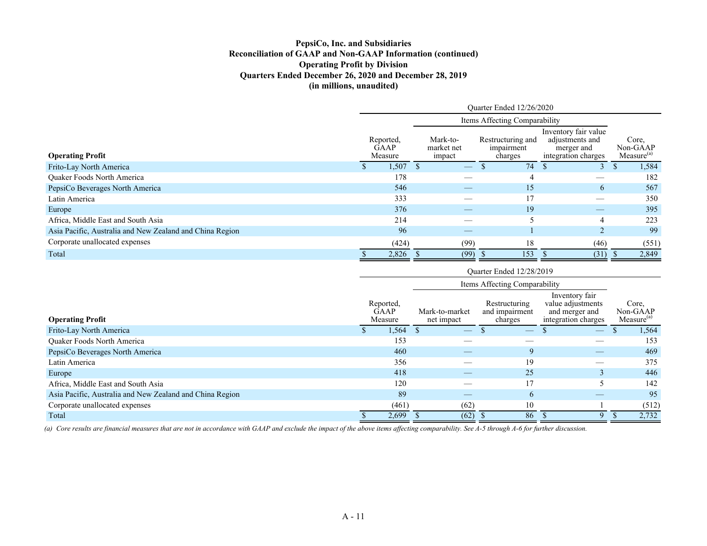## **PepsiCo, Inc. and Subsidiaries Reconciliation of GAAP and Non-GAAP Information (continued) Operating Profit by Division Quarters Ended December 26, 2020 and December 28, 2019 (in millions, unaudited)**

|                                                          | Quarter Ended 12/26/2020 |                              |  |                                  |                                            |                                                                              |  |                                             |  |  |  |
|----------------------------------------------------------|--------------------------|------------------------------|--|----------------------------------|--------------------------------------------|------------------------------------------------------------------------------|--|---------------------------------------------|--|--|--|
|                                                          |                          |                              |  |                                  | Items Affecting Comparability              |                                                                              |  |                                             |  |  |  |
| <b>Operating Profit</b>                                  |                          | Reported,<br>GAAP<br>Measure |  | Mark-to-<br>market net<br>impact | Restructuring and<br>impairment<br>charges | Inventory fair value<br>adjustments and<br>merger and<br>integration charges |  | Core,<br>Non-GAAP<br>Measure <sup>(a)</sup> |  |  |  |
| Frito-Lay North America                                  |                          | 1,507                        |  |                                  | 74                                         | 3                                                                            |  | 1,584                                       |  |  |  |
| <b>Ouaker Foods North America</b>                        |                          | 178                          |  |                                  |                                            |                                                                              |  | 182                                         |  |  |  |
| PepsiCo Beverages North America                          |                          | 546                          |  | $-$                              | 15                                         | 6                                                                            |  | 567                                         |  |  |  |
| Latin America                                            |                          | 333                          |  |                                  | 17                                         |                                                                              |  | 350                                         |  |  |  |
| Europe                                                   |                          | 376                          |  |                                  | 19                                         |                                                                              |  | 395                                         |  |  |  |
| Africa, Middle East and South Asia                       |                          | 214                          |  |                                  |                                            | 4                                                                            |  | 223                                         |  |  |  |
| Asia Pacific, Australia and New Zealand and China Region |                          | 96                           |  |                                  |                                            | $\overline{2}$                                                               |  | 99                                          |  |  |  |
| Corporate unallocated expenses                           |                          | (424)                        |  | (99)                             | 18                                         | (46)                                                                         |  | (551)                                       |  |  |  |
| Total                                                    |                          | 2,826                        |  | (99)                             | 153                                        | (31)                                                                         |  | 2,849                                       |  |  |  |

|                                                          | Ouarter Ended 12/28/2019            |       |                              |                                 |                                            |    |                                                                              |                                 |  |                                             |  |
|----------------------------------------------------------|-------------------------------------|-------|------------------------------|---------------------------------|--------------------------------------------|----|------------------------------------------------------------------------------|---------------------------------|--|---------------------------------------------|--|
|                                                          |                                     |       |                              |                                 |                                            |    |                                                                              |                                 |  |                                             |  |
| <b>Operating Profit</b>                                  | Reported,<br><b>GAAP</b><br>Measure |       | Mark-to-market<br>net impact |                                 | Restructuring<br>and impairment<br>charges |    | Inventory fair<br>value adjustments<br>and merger and<br>integration charges |                                 |  | Core,<br>Non-GAAP<br>Measure <sup>(a)</sup> |  |
| Frito-Lay North America                                  |                                     | 1,564 |                              | $\hspace{0.1mm}-\hspace{0.1mm}$ |                                            |    |                                                                              | $\hspace{0.1mm}-\hspace{0.1mm}$ |  | 1,564                                       |  |
| Quaker Foods North America                               |                                     | 153   |                              |                                 |                                            |    |                                                                              |                                 |  | 153                                         |  |
| PepsiCo Beverages North America                          |                                     | 460   |                              |                                 |                                            | Q  |                                                                              |                                 |  | 469                                         |  |
| Latin America                                            |                                     | 356   |                              |                                 |                                            | 19 |                                                                              |                                 |  | 375                                         |  |
| Europe                                                   |                                     | 418   |                              | $-$                             |                                            | 25 |                                                                              |                                 |  | 446                                         |  |
| Africa, Middle East and South Asia                       |                                     | 120   |                              |                                 |                                            | 17 |                                                                              | 5                               |  | 142                                         |  |
| Asia Pacific, Australia and New Zealand and China Region |                                     | 89    |                              | $-$                             |                                            | 6  |                                                                              |                                 |  | 95                                          |  |
| Corporate unallocated expenses                           |                                     | (461) |                              | (62)                            |                                            | 10 |                                                                              |                                 |  | (512)                                       |  |
| Total                                                    |                                     | 2,699 |                              | (62)                            |                                            | 86 |                                                                              | 9                               |  | 2,732                                       |  |

*(a) Core results are financial measures that are not in accordance with GAAP and exclude the impact of the above items affecting comparability. See A-5 through A-6 for further discussion.*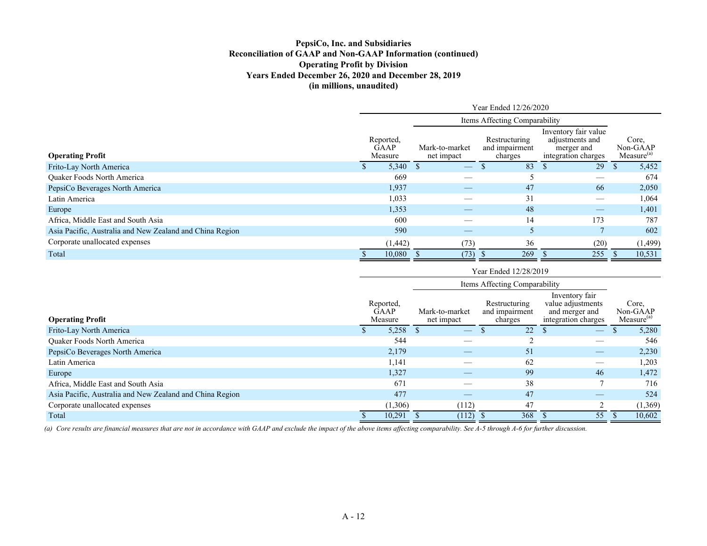## **PepsiCo, Inc. and Subsidiaries Reconciliation of GAAP and Non-GAAP Information (continued) Operating Profit by Division Years Ended December 26, 2020 and December 28, 2019 (in millions, unaudited)**

|                                                          |                                     |         | Year Ended 12/26/2020        |                                            |     |                                                                              |      |     |                                             |  |  |  |  |
|----------------------------------------------------------|-------------------------------------|---------|------------------------------|--------------------------------------------|-----|------------------------------------------------------------------------------|------|-----|---------------------------------------------|--|--|--|--|
|                                                          |                                     |         |                              | Items Affecting Comparability              |     |                                                                              |      |     |                                             |  |  |  |  |
| <b>Operating Profit</b>                                  | Reported,<br><b>GAAP</b><br>Measure |         | Mark-to-market<br>net impact | Restructuring<br>and impairment<br>charges |     | Inventory fair value<br>adjustments and<br>merger and<br>integration charges |      |     | Core.<br>Non-GAAP<br>Measure <sup>(a)</sup> |  |  |  |  |
| Frito-Lay North America                                  |                                     | 5,340   |                              |                                            | 83  |                                                                              | 29   | \$. | 5,452                                       |  |  |  |  |
| <b>Ouaker Foods North America</b>                        |                                     | 669     |                              |                                            |     |                                                                              |      |     | 674                                         |  |  |  |  |
| PepsiCo Beverages North America                          |                                     | 1,937   |                              |                                            | 47  |                                                                              | 66   |     | 2,050                                       |  |  |  |  |
| Latin America                                            |                                     | 1,033   |                              |                                            | 31  |                                                                              |      |     | 1,064                                       |  |  |  |  |
| Europe                                                   |                                     | 1,353   | __                           |                                            | 48  |                                                                              |      |     | 1,401                                       |  |  |  |  |
| Africa, Middle East and South Asia                       |                                     | 600     |                              |                                            | 14  |                                                                              | 173  |     | 787                                         |  |  |  |  |
| Asia Pacific, Australia and New Zealand and China Region |                                     | 590     |                              |                                            |     |                                                                              |      |     | 602                                         |  |  |  |  |
| Corporate unallocated expenses                           |                                     | (1,442) | (73)                         |                                            | 36  |                                                                              | (20) |     | (1, 499)                                    |  |  |  |  |
| Total                                                    |                                     | 10,080  | (73)                         |                                            | 269 |                                                                              | 255  |     | 10,531                                      |  |  |  |  |

|                                                          |                              | Year Ended 12/28/2019        |                                            |                                                                              |  |                                             |  |  |  |  |  |
|----------------------------------------------------------|------------------------------|------------------------------|--------------------------------------------|------------------------------------------------------------------------------|--|---------------------------------------------|--|--|--|--|--|
|                                                          |                              |                              | Items Affecting Comparability              |                                                                              |  |                                             |  |  |  |  |  |
| <b>Operating Profit</b>                                  | Reported,<br>GAAP<br>Measure | Mark-to-market<br>net impact | Restructuring<br>and impairment<br>charges | Inventory fair<br>value adjustments<br>and merger and<br>integration charges |  | Core,<br>Non-GAAP<br>Measure <sup>(a)</sup> |  |  |  |  |  |
| Frito-Lay North America                                  | 5,258                        |                              | 22                                         | $\overline{\phantom{m}}$                                                     |  | 5,280                                       |  |  |  |  |  |
| Quaker Foods North America                               | 544                          |                              |                                            |                                                                              |  | 546                                         |  |  |  |  |  |
| PepsiCo Beverages North America                          | 2,179                        |                              | 51                                         | $\qquad \qquad -$                                                            |  | 2,230                                       |  |  |  |  |  |
| Latin America                                            | 1,141                        |                              | 62                                         |                                                                              |  | 1,203                                       |  |  |  |  |  |
| Europe                                                   | 1,327                        |                              | 99                                         | 46                                                                           |  | 1,472                                       |  |  |  |  |  |
| Africa, Middle East and South Asia                       | 671                          |                              | 38                                         | ┑                                                                            |  | 716                                         |  |  |  |  |  |
| Asia Pacific, Australia and New Zealand and China Region | 477                          |                              | 47                                         | —                                                                            |  | 524                                         |  |  |  |  |  |
| Corporate unallocated expenses                           | (1,306)                      | (112)                        | 47                                         | $\bigcap$                                                                    |  | (1,369)                                     |  |  |  |  |  |
| Total                                                    | 10,291                       | (112)                        | 368                                        | 55                                                                           |  | 10,602                                      |  |  |  |  |  |

*(a) Core results are financial measures that are not in accordance with GAAP and exclude the impact of the above items affecting comparability. See A-5 through A-6 for further discussion.*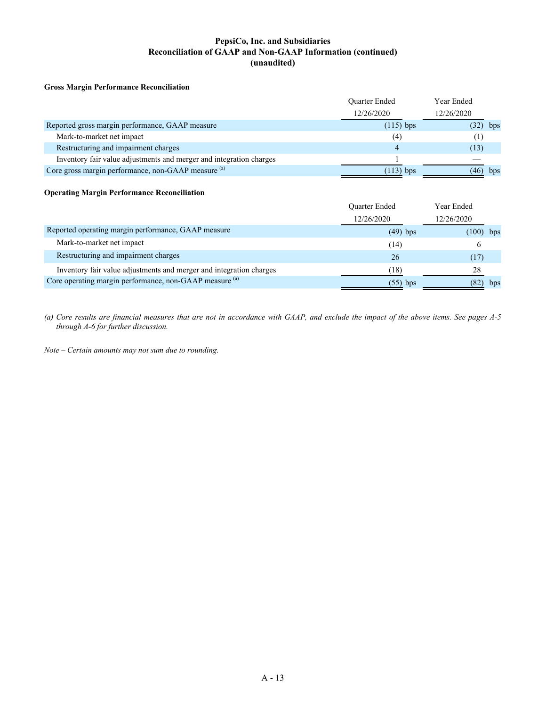## **PepsiCo, Inc. and Subsidiaries Reconciliation of GAAP and Non-GAAP Information (continued) (unaudited)**

#### **Gross Margin Performance Reconciliation**

|                                                                     | <b>Ouarter Ended</b> | Year Ended  |
|---------------------------------------------------------------------|----------------------|-------------|
|                                                                     | 12/26/2020           | 12/26/2020  |
| Reported gross margin performance, GAAP measure                     | $(115)$ bps          | (32)<br>bps |
| Mark-to-market net impact                                           | (4)                  |             |
| Restructuring and impairment charges                                |                      | (13)        |
| Inventory fair value adjustments and merger and integration charges |                      |             |
| Core gross margin performance, non-GAAP measure (a)                 | $(113)$ bps          | bps<br>(46) |

#### **Operating Margin Performance Reconciliation**

|                                                                     | <b>Ouarter Ended</b> | Year Ended |     |
|---------------------------------------------------------------------|----------------------|------------|-----|
|                                                                     | 12/26/2020           | 12/26/2020 |     |
| Reported operating margin performance, GAAP measure                 | $(49)$ bps           | (100)      | bps |
| Mark-to-market net impact                                           | (14)                 |            |     |
| Restructuring and impairment charges                                | 26                   | (17)       |     |
| Inventory fair value adjustments and merger and integration charges | (18)                 | 28         |     |
| Core operating margin performance, non-GAAP measure (a)             | $(55)$ bps           | (82)       | bps |

*(a) Core results are financial measures that are not in accordance with GAAP, and exclude the impact of the above items. See pages A-5 through A-6 for further discussion.*

*Note – Certain amounts may not sum due to rounding.*